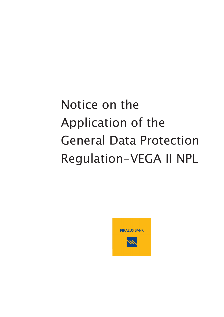# Notice on the Application of the General Data Protection Regulation-VEGA II NPL

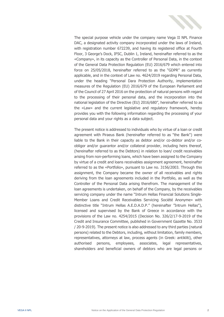

The special purpose vehicle under the company name Vega II NPL Finance DAC, a designated activity company incorporated under the laws of Ireland, with registration number 672239, and having its registered office at Fourth Floor, 3 George's Dock, IFSC, Dublin 1, Ireland, hereinafter referred to as the «Company», in its capacity as the Controller of Personal Data, in the context of the General Data Protection Regulation (EU) 2016/679 which entered into force on 25/05/2018, hereinafter referred to as the "GDPR" as currently applicable, and in the context of Law no. 4624/2019 regarding Personal Data, under the heading "Personal Dara Protection Authority, implementation measures of the Regulation (EU) 2016/679 of the European Parliament and of the Council of 27 April 2016 on the protection of natural persons with regard to the processing of their personal data, and the incorporation into the national legislation of the Directive (EU) 2016/680", hereinafter referred to as the «Law» and the current legislative and regulatory framework, hereby provides you with the following information regarding the processing of your personal data and your rights as a data subject.

The present notice is addressed to individuals who by virtue of a loan or credit agreement with Piraeus Bank (hereinafter referred to as "the Bank") were liable to the Bank in their capacity as debtor and/or co-debtor and/or coobligor and/or guarantor and/or collateral provider, including heirs thereof, (hereinafter referred to as the Debtors) in relation to loan/ credit receivables arising from non-performing loans, which have been assigned to the Company by virtue of a credit and loans receivables assignment agreement, hereinafter referred to as the «Portfolio», pursuant to Law no. 3156/2003. Through this assignment, the Company became the owner of all receivables and rights deriving from the loan agreements included in the Portfolio, as well as the Controller of the Personal Data arising therefrom. The management of the loan agreements is undertaken, on behalf of the Company, by the receivables servicing company under the name "Intrum Hellas Financial Solutions Single-Member Loans and Credit Receivables Servicing Société Anonyme» with distinctive title "Intrum Hellas A.E.D.A.D.P." (hereinafter "Intrum Hellas"), licensed and supervised by the Bank of Greece in accordance with the provisions of the Law no. 4254/2015 (Decision No. 326/2/17-9-2019 of the Credit and Insurance Committee, published in Government Gazette No. 3533 / 20-9-2019). The present notice is also addressed to any third parties (natural persons) related to the Debtors, including, without limitation, family members, representatives, attorneys at law, process agents (in Greek: antikliti), other authorised persons, employees, associates, legal representatives, shareholders and beneficial owners of debtors who are legal persons or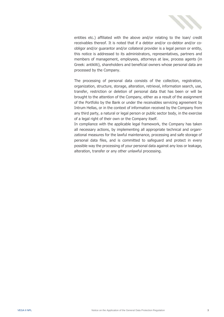

entities etc.) affiliated with the above and/or relating to the loan/ credit receivables thereof. It is noted that if a debtor and/or co-debtor and/or coobligor and/or guarantor and/or collateral provider is a legal person or entity, this notice is addressed to its administrators, representatives, partners and members of management, employees, attorneys at law, process agents (in Greek: antikliti), shareholders and beneficial owners whose personal data are processed by the Company.

The processing of personal data consists of the collection, registration, organization, structure, storage, alteration, retrieval, information search, use, transfer, restriction or deletion of personal data that has been or will be brought to the attention of the Company, either as a result of the assignment of the Portfolio by the Bank or under the receivables servicing agreement by Intrum Hellas, or in the context of information received by the Company from any third party, a natural or legal person or public sector body, in the exercise of a legal right of their own or the Company itself.

In compliance with the applicable legal framework, the Company has taken all necessary actions, by implementing all appropriate technical and organizational measures for the lawful maintenance, processing and safe storage of personal data files, and is committed to safeguard and protect in every possible way the processing of your personal data against any loss or leakage, alteration, transfer or any other unlawful processing.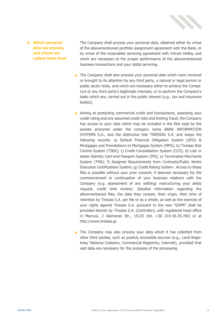

#### **A. Which personal data we process and where we collect them from**

The Company shall process your personal data, obtained either by virtue of the abovementioned portfolio assignment agreement with the Bank, or by virtue of the receivables servicing agreement with Intrum Hellas, and which are necessary to the proper performance of the abovementioned business transactions and your debts servicing.

- The Company shall also process your personal data which were received or brought to its attention by any third party, a natural or legal person or public sector body, and which are necessary either to achieve the Company's or any third party's legitimate interests, or to perform the Company's tasks which are, carried out in the public interest (e.g., tax and insurance bodies).
- Aiming at protecting commercial credit and transactions, assessing your credit rating and any assumed credit risks and limiting fraud, the Company has access to your data which may be included in the files kept by the societe anonyme under the company name BANK INFORMATION SYSTEMS S.A., and the distinctive title TIRESIAS S.A. and keeps the following records: a) Default Financial Obligation System (DFO) & Mortgages and Prenotations to Mortgages System (MPS); b) Tiresias Risk Control System (TSEK); c) Credit Consolidation System (CCS); d) Lost or stolen Identity Card and Passport System (IPS); e) Terminated Merchants System (TMS); f) Assigned Requirements from Contracts/Public Works Execution Certifications System; g) Credit Rating System.. Access to these files is possible without your prior consent, if deemed necessary for the commencement or continuation of your business relations with the Company (e.g. assessment of any settling/ restructuring your debts request, credit limit review). Detailed information regarding the aforementioned files, the data they contain, their origin, their time of retention by Tiresias S.A. per file or as a whole, as well as the exercise of your rights against Tiresias S.A. pursuant to the new "GDPR" shall be provided directly by Tiresias S.A. (Controller), with registered head office in Marousi, 2 Alamanas Str., 15125 (tel. +30 210-36.76.700) or at [http://www.tiresias.gr.](http://www.tiresias.gr/)
- The Company may also process your data which it has collected from other third parties, such as publicly accessible sources (e.g., Land Registries/ National Cadastre, Commercial Registries, Internet), provided that said data are necessary for the purposes of the processing.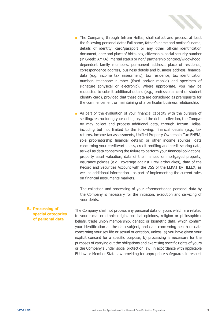

- The Company, through Intrum Hellas, shall collect and process at least the following personal data: Full name, father's name and mother's name, details of identity, card/passport or any other official identification document, date and place of birth, sex, citizenship, social security number (in Greek: AMKA), marital status or non/ partnership contract/widowhood, dependent family members, permanent address, place of residence, correspondence address, business details and business address, financial data (e.g. income tax assessment), tax residence, tax identification number, telephone number (fixed and/or mobile) and specimen of signature (physical or electronic). Where appropriate, you may be requested to submit additional details (e.g., professional card or student identity card), provided that these data are considered as prerequisite for the commencement or maintaining of a particular business relationship.
- As part of the evaluation of your financial capacity with the purpose of settling/restructuring your debts, or/and the debts collection, the Company may collect and process additional data, through Intrum Hellas, including but not limited to the following: financial details (e.g., tax returns, income tax assessments, Unified Property Ownership Tax-ENFIA, sole proprietorship financial details) or other income sources, data concerning your creditworthiness, credit profiling and credit scoring data, as well as data concerning the failure to perform your financial obligations, property asset valuation, data of the financed or mortgaged property, insurance policies (e.g., coverage against Fire/Earthquakes), data of the Record and Securities Account with the DSS of the ELKAT by HELEX, as well as additional information - as part of implementing the current rules on financial instruments markets.

The collection and processing of your aforementioned personal data by the Company is necessary for the initiation, execution and servicing of your debts.

**B. Processing of special categories of personal data** The Company shall not process any personal data of yours which are related to your racial or ethnic origin, political opinions, religion or philosophical beliefs, trade union membership, genetic or biometric data, which confirm your identification as the data subject, and data concerning health or data concerning your sex life or sexual orientation, unless: a) you have given your explicit consent for a specific purpose; b) processing is necessary for the purposes of carrying out the obligations and exercising specific rights of yours or the Company's under social protection law, in accordance with applicable EU law or Member State law providing for appropriate safeguards in respect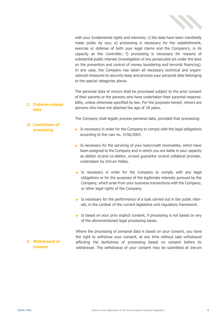

with your fundamental rights and interests; c) the data have been manifestly made public by you; e) processing is necessary for the establishment, exercise or defense of both your legal claims and the Company's, in its capacity as the Controller; f) processing is necessary for reasons of substantial public interest (investigation of any persecuted act under the laws on the prevention and control of money laundering and terrorist financing). In any case, the Company has taken all necessary technical and organizational measures to securely keep and process your personal data belonging to the special categories above.

**C. Children related data** The personal data of minors shall be processed subject to the prior consent of their parents or the persons who have undertaken their parental responsibility, unless otherwise specified by law. For the purposes hereof, minors are persons who have not attained the age of 18 years.

The Company shall legally process personal data, provided that processing:

- Is necessary in order for the Company to comply with the legal obligations according to the Law no. 3156/2003.
- Is necessary for the servicing of your loan/credit receivables, which have been assigned to the Company and in which you are liable in your capacity as debtor or/and co-debtor, or/and guarantor or/and collateral provider, undertaken by Intrum Hellas.
- Is necessary in order for the Company to comply with any legal obligations or for the purposes of the legitimate interests pursued by the Company, which arise from your business transactions with the Company, or other legal rights of the Company.
- Is necessary for the performance of a task carried out in the public interest, in the context of the current legislative and regulatory framework.
- Is based on your prior explicit consent, if processing is not based on any of the aforementioned legal processing bases.

Where the processing of personal data is based on your consent, you have the right to withdraw your consent, at any time without said withdrawal affecting the lawfulness of processing based on consent before its withdrawal. The withdrawal of your consent may be submitted at Intrum

**D. Lawfulness of** 

**E. Withdrawal of consent**

**processing**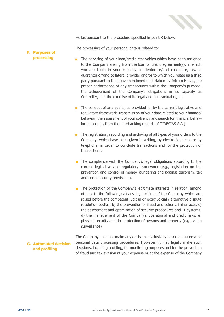

Hellas pursuant to the procedure specified in point K below.

The processing of your personal data is related to:

#### **F. Purposes of processing**

- The servicing of your loan/credit receivables which have been assigned to the Company arising from the loan or credit agreement(s), in which you are liable in your capacity as debtor or/and co-debtor, or/and guarantor or/and collateral provider and/or to which you relate as a third party pursuant to the abovementioned undertaken by Intrum Hellas, the proper performance of any transactions within the Company's purpose, the achievement of the Company's obligations in its capacity as Controller, and the exercise of its legal and contractual rights.
- The conduct of any audits, as provided for by the current legislative and regulatory framework, transmission of your data related to your financial behavior, the assessment of your solvency and search for financial behavior data (e.g., from the interbanking records of TIRESIAS S.A.).
- The registration, recording and archiving of all types of your orders to the Company, which have been given in writing, by electronic means or by telephone, in order to conclude transactions and for the protection of transactions.
- The compliance with the Company's legal obligations according to the current legislative and regulatory framework (e.g., legislation on the prevention and control of money laundering and against terrorism, tax and social security provisions).
- The protection of the Company's legitimate interests in relation, among others, to the following: a) any legal claims of the Company which are raised before the competent judicial or extrajudicial / alternative dispute resolution bodies; b) the prevention of fraud and other criminal acts; c) the assessment and optimization of security procedures and IT systems; d) the management of the Company's operational and credit risks; e) physical security and the protection of persons and property (e.g., video surveillance)

### **G. Automated decision and profiling**

The Company shall not make any decisions exclusively based on automated personal data processing procedures. However, it may legally make such decisions, including profiling, for monitoring purposes and for the prevention of fraud and tax evasion at your expense or at the expense of the Company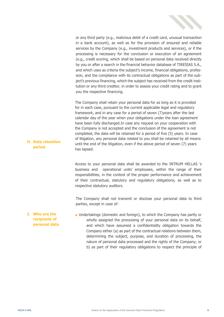

or any third party (e.g., malicious debit of a credit card, unusual transaction in a bank account), as well as for the provision of ensured and reliable services by the Company (e.g., investment products and services), or if the processing is necessary for the conclusion or execution of an agreement (e.g., credit scoring, which shall be based on personal data received directly by you or after a search in the financial behavior database of TIRESIAS S.A., and which uses as criteria the subject's income, financial obligations, profession, and the compliance with its contractual obligations as part of the subject's previous financing, which the subject has received from the credit institution or any third creditor, in order to assess your credit rating and to grant you the respective financing.

The Company shall retain your personal data for as long as it is provided for in each case, pursuant to the current applicable legal and regulatory framework, and in any case for a period of seven (7)years after the last calendar day of the year when your obligations under the loan agreement have been fully discharged.In case any request on your cooperation with the Company is not accepted and the conclusion of the agreement is not completed, the data will be retained for a period of five (5) years. In case of litigation, any personal data related to you shall be retained by all means until the end of the litigation, even if the above period of seven (7) years has lapsed.

Access to your personal data shall be awarded to the INTRUM HELLAS 's business and operational units' employees, within the range of their responsibilities, in the context of the proper performance and achievement of their contractual, statutory and regulatory obligations, as well as to respective statutory auditors.

The Company shall not transmit or disclose your personal data to third parties, except in case of:

**I. Who are the recipients of personal data** ■ Undertakings (domestic and foreign), to which the Company has partly or wholly assigned the processing of your personal data on its behalf, and which have assumed a confidentiality obligation towards the Company either (a) as part of the contractual relations between them, determining the subject, purpose, and duration of processing, the nature of personal data processed and the rights of the Company; or b) as part of their regulatory obligations to respect the principle of

**H. Data retention period**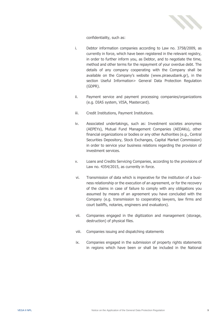

confidentiality, such as:

- i. Debtor information companies according to Law no. 3758/2009, as currently in force, which have been registered in the relevant registry, in order to further inform you, as Debtor, and to negotiate the time, method and other terms for the repayment of your overdue debt. The details of any company cooperating with the Company shall be available on the Company's website ([www.piraeusbank.gr\)](http://www.piraeusbank.gr/), in the section Useful Information> General Data Protection Regulation (GDPR).
- ii. Payment service and payment processing companies/organizations (e.g. DIAS system, VISA, Mastercard).
- iii. Credit Institutions, Payment Institutions.
- iv. Associated undertakings, such as: Investment societes anonymes (AEPEYs), Mutual Fund Management Companies (AEDAKs), other financial organizations or bodies or any other Authorities (e.g., Central Securities Depository, Stock Exchanges, Capital Market Commission) in order to service your business relations regarding the provision of investment services.
- v. Loans and Credits Servicing Companies, according to the provisions of Law no. 4354/2015, as currently in force.
- vi. Transmission of data which is imperative for the institution of a business relationship or the execution of an agreement, or for the recovery of the claims in case of failure to comply with any obligations you assumed by means of an agreement you have concluded with the Company (e.g. transmission to cooperating lawyers, law firms and court bailiffs, notaries, engineers and evaluators).
- vii. Companies engaged in the digitization and management (storage, destruction) of physical files.
- viii. Companies issuing and dispatching statements
- ix. Companies engaged in the submission of property rights statements in regions which have been or shall be included in the National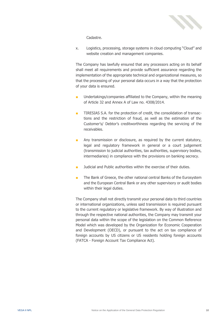

Cadastre.

x. Logistics, processing, storage systems in cloud computing "Cloud" and website creation and management companies.

The Company has lawfully ensured that any processors acting on its behalf shall meet all requirements and provide sufficient assurance regarding the implementation of the appropriate technical and organizational measures, so that the processing of your personal data occurs in a way that the protection of your data is ensured.

- Undertakings/companies affiliated to the Company, within the meaning of Article 32 and Annex A of Law no. 4308/2014.
- TIRESIAS S.A. for the protection of credit, the consolidation of transactions and the restriction of fraud, as well as the estimation of the Customer's/ Debtor's creditworthiness regarding the servicing of the receivables.
- Any transmission or disclosure, as required by the current statutory, legal and regulatory framework in general or a court judgement (transmission to judicial authorities, tax authorities, supervisory bodies, intermediaries) in compliance with the provisions on banking secrecy.
- Judicial and Public authorities within the exercise of their duties.
- The Bank of Greece, the other national central Banks of the Eurosystem and the European Central Bank or any other supervisory or audit bodies within their legal duties.

The Company shall not directly transmit your personal data to third countries or international organizations, unless said transmission is required pursuant to the current regulatory or legislative framework. By way of illustration and through the respective national authorities, the Company may transmit your personal data within the scope of the legislation on the Common Reference Model which was developed by the Organization for Economic Cooperation and Development (OECD), or pursuant to the act on tax compliance of foreign accounts by US citizens or US residents holding foreign accounts (FATCA - Foreign Account Tax Compliance Act).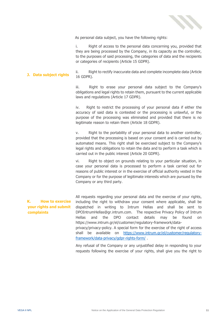

As personal data subject, you have the following rights:

i. Right of access to the personal data concerning you, provided that they are being processed by the Company, in its capacity as the controller, to the purposes of said processing, the categories of data and the recipients or categories of recipients (Article 15 GDPR).

**J. Data subject rights** ii. Right to rectify inaccurate data and complete incomplete data (Article 16 GDPR).

> iii. Right to erase your personal data subject to the Company's obligations and legal rights to retain them, pursuant to the current applicable laws and regulations (Article 17 GDPR).

> iv. Right to restrict the processing of your personal data if either the accuracy of said data is contested or the processing is unlawful, or the purpose of the processing was eliminated and provided that there is no legitimate reason to retain them (Article 18 GDPR).

> v. Right to the portability of your personal data to another controller, provided that the processing is based on your consent and is carried out by automated means. This right shall be exercised subject to the Company's legal rights and obligations to retain the data and to perform a task which is carried out in the public interest (Article 20 GDPR).

> vi. Right to object on grounds relating to your particular situation, in case your personal data is processed to perform a task carried out for reasons of public interest or in the exercise of official authority vested in the Company or for the purpose of legitimate interests which are pursued by the Company or any third party.

## **K. How to exercise your rights and submit complaints**

All requests regarding your personal data and the exercise of your rights, including the right to withdraw your consent where applicable, shall be dispatched in writing to Intrum Hellas and shall be sent to DPOIntrumHellas@gr.intrum.com. The respective Privacy Policy of Intrum Hellas and the DPO contact details may be found on https://www.intrum.gr/el/customer/regulatory-framework/dataprivacy/privacy-policy. A special form for the exercise of the right of access shall be available on [https://www.intrum.gr/el/customer/regulatory](https://www.intrum.gr/el/customer/regulatory-framework/data-privacy/gdpr-rights-form/)[framework/data-privacy/gdpr-rights-form/](https://www.intrum.gr/el/customer/regulatory-framework/data-privacy/gdpr-rights-form/) .

Any refusal of the Company or any unjustified delay in responding to your requests following the exercise of your rights, shall give you the right to